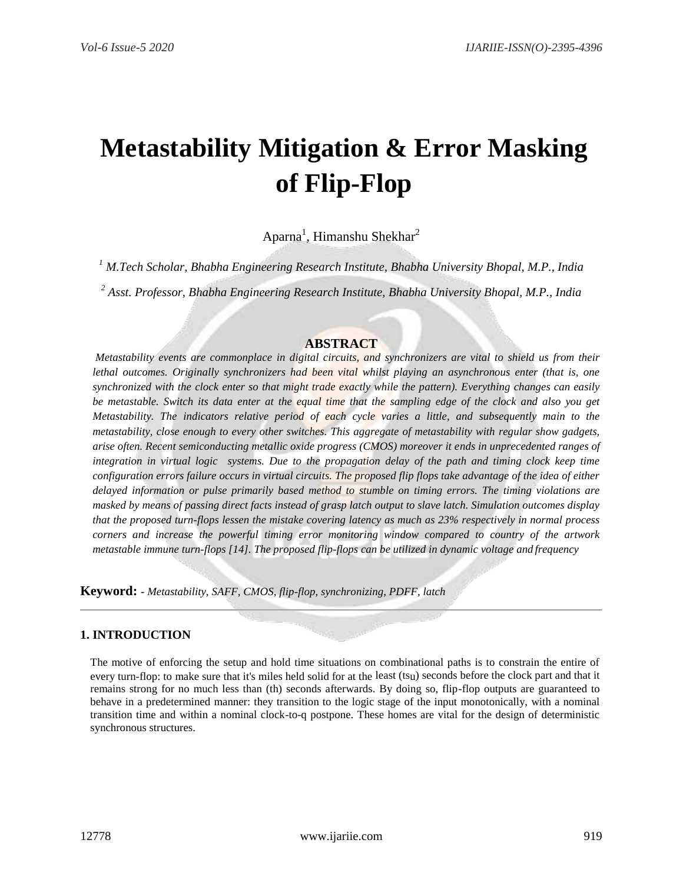# **Metastability Mitigation & Error Masking of Flip-Flop**

Aparna<sup>1</sup>, Himanshu Shekhar<sup>2</sup>

*<sup>1</sup> M.Tech Scholar, Bhabha Engineering Research Institute, Bhabha University Bhopal, M.P., India*

*<sup>2</sup> Asst. Professor, Bhabha Engineering Research Institute, Bhabha University Bhopal, M.P., India*

# **ABSTRACT**

*Metastability events are commonplace in digital circuits, and synchronizers are vital to shield us from their lethal outcomes. Originally synchronizers had been vital whilst playing an asynchronous enter (that is, one synchronized with the clock enter so that might trade exactly while the pattern). Everything changes can easily be metastable. Switch its data enter at the equal time that the sampling edge of the clock and also you get Metastability. The indicators relative period of each cycle varies a little, and subsequently main to the metastability, close enough to every other switches. This aggregate of metastability with regular show gadgets, arise often. Recent semiconducting metallic oxide progress (CMOS) moreover it ends in unprecedented ranges of integration in virtual logic systems. Due to the propagation delay of the path and timing clock keep time configuration errors failure occurs in virtual circuits. The proposed flip flops take advantage of the idea of either delayed information or pulse primarily based method to stumble on timing errors. The timing violations are masked by means of passing direct facts instead of grasp latch output to slave latch. Simulation outcomes display that the proposed turn-flops lessen the mistake covering latency as much as 23% respectively in normal process corners and increase the powerful timing error monitoring window compared to country of the artwork metastable immune turn-flops [14]. The proposed flip-flops can be utilized in dynamic voltage and frequency*

**Keyword: -** *Metastability, SAFF, CMOS, flip-flop, synchronizing, PDFF, latch*

# **1. INTRODUCTION**

The motive of enforcing the setup and hold time situations on combinational paths is to constrain the entire of every turn-flop: to make sure that it's miles held solid for at the least (tsu) seconds before the clock part and that it remains strong for no much less than (th) seconds afterwards. By doing so, flip-flop outputs are guaranteed to behave in a predetermined manner: they transition to the logic stage of the input monotonically, with a nominal transition time and within a nominal clock-to-q postpone. These homes are vital for the design of deterministic synchronous structures.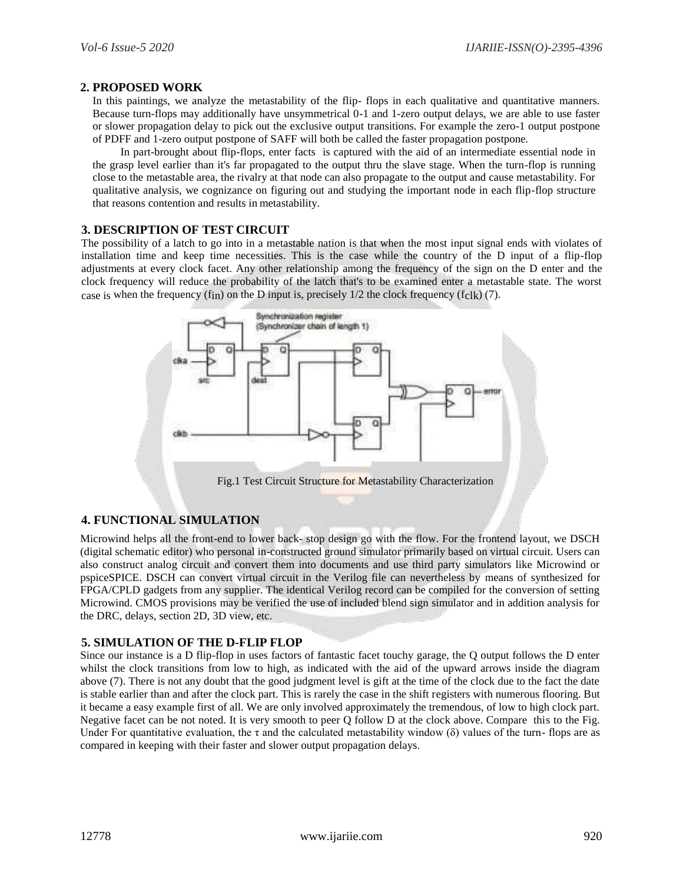### **2. PROPOSED WORK**

In this paintings, we analyze the metastability of the flip- flops in each qualitative and quantitative manners. Because turn-flops may additionally have unsymmetrical 0-1 and 1-zero output delays, we are able to use faster or slower propagation delay to pick out the exclusive output transitions. For example the zero-1 output postpone of PDFF and 1-zero output postpone of SAFF will both be called the faster propagation postpone.

In part-brought about flip-flops, enter facts is captured with the aid of an intermediate essential node in the grasp level earlier than it's far propagated to the output thru the slave stage. When the turn-flop is running close to the metastable area, the rivalry at that node can also propagate to the output and cause metastability. For qualitative analysis, we cognizance on figuring out and studying the important node in each flip-flop structure that reasons contention and results in metastability.

## **3. DESCRIPTION OF TEST CIRCUIT**

The possibility of a latch to go into in a metastable nation is that when the most input signal ends with violates of installation time and keep time necessities. This is the case while the country of the D input of a flip-flop adjustments at every clock facet. Any other relationship among the frequency of the sign on the D enter and the clock frequency will reduce the probability of the latch that's to be examined enter a metastable state. The worst case is when the frequency (fin) on the D input is, precisely  $1/2$  the clock frequency (fclk) (7).



## **4. FUNCTIONAL SIMULATION**

Microwind helps all the front-end to lower back- stop design go with the flow. For the frontend layout, we DSCH (digital schematic editor) who personal in-constructed ground simulator primarily based on virtual circuit. Users can also construct analog circuit and convert them into documents and use third party simulators like Microwind or pspiceSPICE. DSCH can convert virtual circuit in the Verilog file can nevertheless by means of synthesized for FPGA/CPLD gadgets from any supplier. The identical Verilog record can be compiled for the conversion of setting Microwind. CMOS provisions may be verified the use of included blend sign simulator and in addition analysis for the DRC, delays, section 2D, 3D view, etc.

#### **5. SIMULATION OF THE D-FLIP FLOP**

Since our instance is a D flip-flop in uses factors of fantastic facet touchy garage, the Q output follows the D enter whilst the clock transitions from low to high, as indicated with the aid of the upward arrows inside the diagram above (7). There is not any doubt that the good judgment level is gift at the time of the clock due to the fact the date is stable earlier than and after the clock part. This is rarely the case in the shift registers with numerous flooring. But it became a easy example first of all. We are only involved approximately the tremendous, of low to high clock part. Negative facet can be not noted. It is very smooth to peer Q follow D at the clock above. Compare this to the Fig. Under For quantitative evaluation, the  $\tau$  and the calculated metastability window ( $\delta$ ) values of the turn-flops are as compared in keeping with their faster and slower output propagation delays.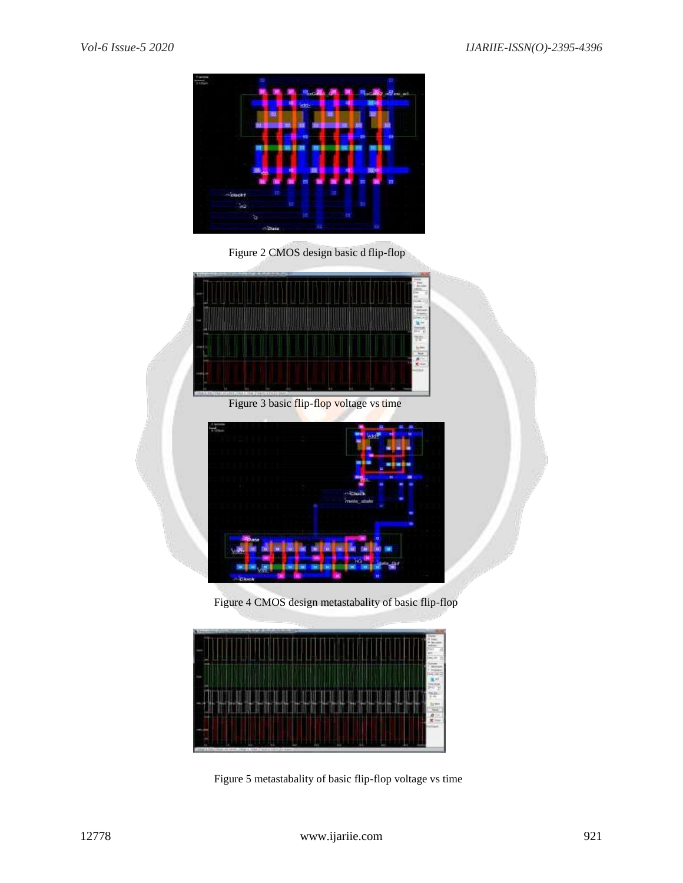

Figure 2 CMOS design basic d flip-flop



Figure 4 CMOS design metastabality of basic flip-flop



Figure 5 metastabality of basic flip-flop voltage vs time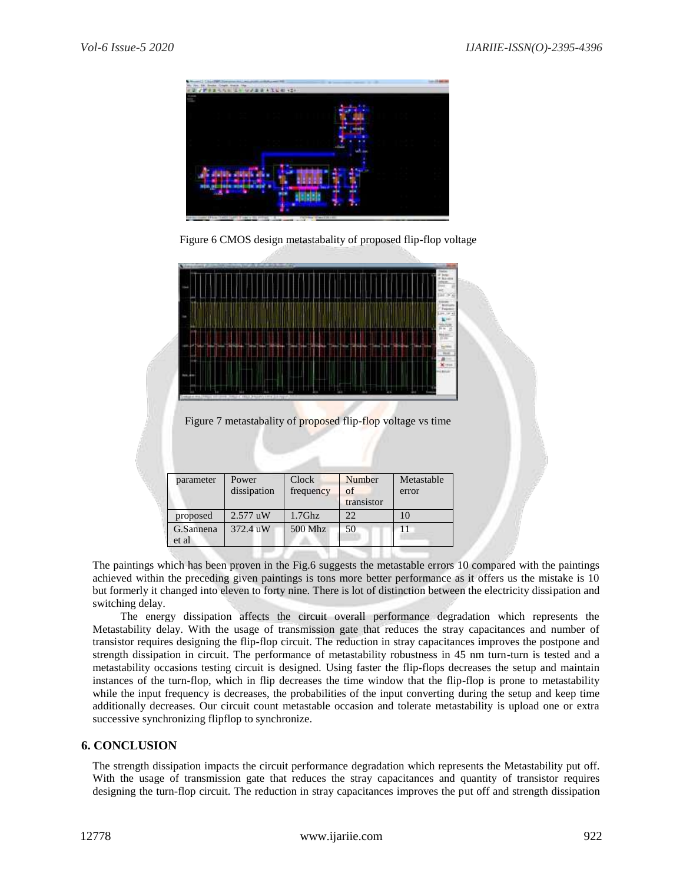

Figure 6 CMOS design metastabality of proposed flip-flop voltage



Figure 7 metastabality of proposed flip-flop voltage vs time

| parameter | Power       | Clock     | Number     | Metastable |
|-----------|-------------|-----------|------------|------------|
|           | dissipation | frequency | of         | error      |
|           |             |           | transistor |            |
| proposed  | $2.577$ uW  | $1.7$ Ghz | 22         | 10         |
| G.Sannena | 372.4 uW    | 500 Mhz   | 50         | 11         |
| et al     |             |           |            |            |

The paintings which has been proven in the Fig.6 suggests the metastable errors 10 compared with the paintings achieved within the preceding given paintings is tons more better performance as it offers us the mistake is 10 but formerly it changed into eleven to forty nine. There is lot of distinction between the electricity dissipation and switching delay.

The energy dissipation affects the circuit overall performance degradation which represents the Metastability delay. With the usage of transmission gate that reduces the stray capacitances and number of transistor requires designing the flip-flop circuit. The reduction in stray capacitances improves the postpone and strength dissipation in circuit. The performance of metastability robustness in 45 nm turn-turn is tested and a metastability occasions testing circuit is designed. Using faster the flip-flops decreases the setup and maintain instances of the turn-flop, which in flip decreases the time window that the flip-flop is prone to metastability while the input frequency is decreases, the probabilities of the input converting during the setup and keep time additionally decreases. Our circuit count metastable occasion and tolerate metastability is upload one or extra successive synchronizing flipflop to synchronize.

## **6. CONCLUSION**

The strength dissipation impacts the circuit performance degradation which represents the Metastability put off. With the usage of transmission gate that reduces the stray capacitances and quantity of transistor requires designing the turn-flop circuit. The reduction in stray capacitances improves the put off and strength dissipation